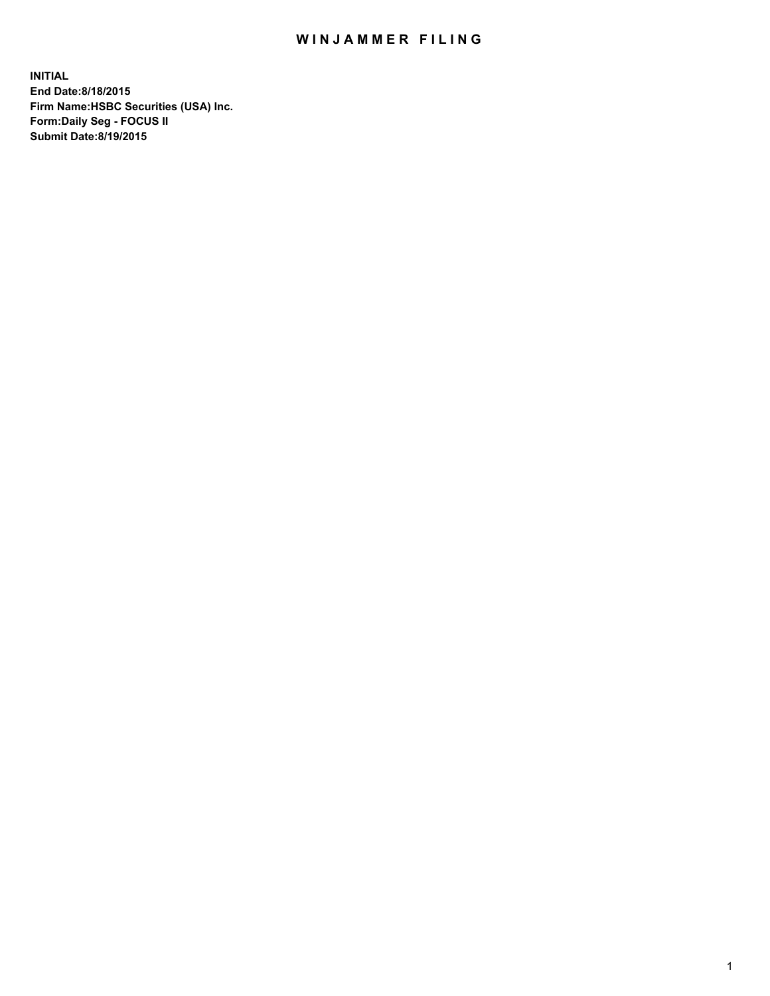## WIN JAMMER FILING

**INITIAL End Date:8/18/2015 Firm Name:HSBC Securities (USA) Inc. Form:Daily Seg - FOCUS II Submit Date:8/19/2015**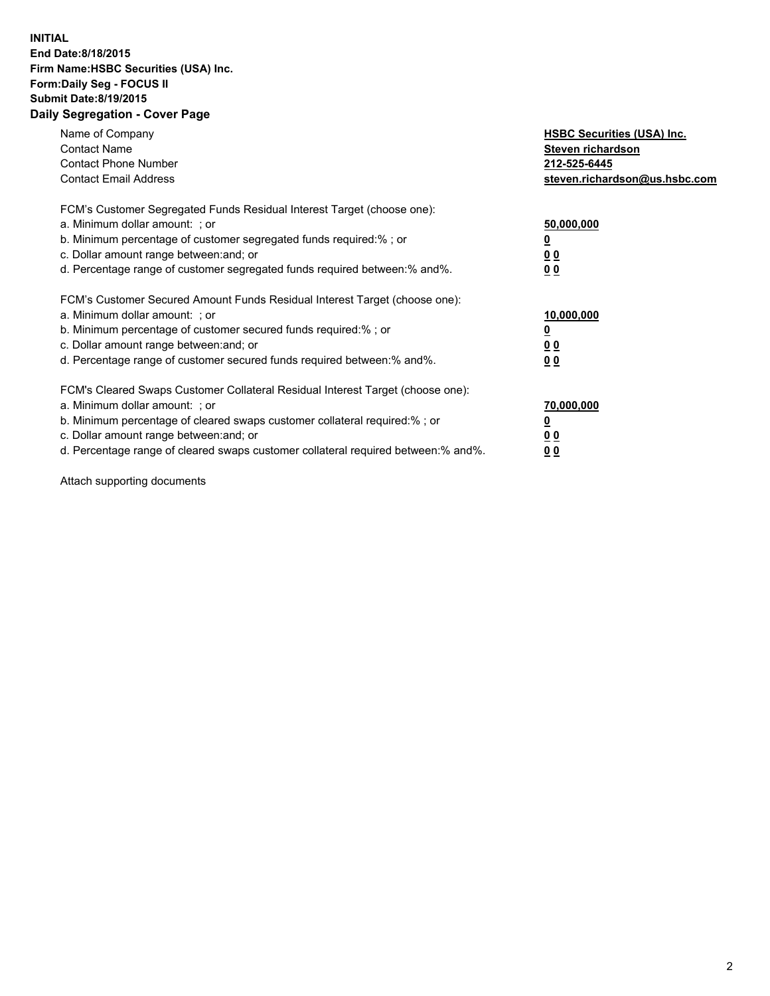## **INITIAL End Date:8/18/2015 Firm Name:HSBC Securities (USA) Inc. Form:Daily Seg - FOCUS II Submit Date:8/19/2015 Daily Segregation - Cover Page**

| Name of Company<br><b>Contact Name</b><br><b>Contact Phone Number</b><br><b>Contact Email Address</b>                                                                                                                                                                                                                         | <b>HSBC Securities (USA) Inc.</b><br>Steven richardson<br>212-525-6445<br>steven.richardson@us.hsbc.com |
|-------------------------------------------------------------------------------------------------------------------------------------------------------------------------------------------------------------------------------------------------------------------------------------------------------------------------------|---------------------------------------------------------------------------------------------------------|
| FCM's Customer Segregated Funds Residual Interest Target (choose one):<br>a. Minimum dollar amount: ; or<br>b. Minimum percentage of customer segregated funds required:%; or<br>c. Dollar amount range between: and; or<br>d. Percentage range of customer segregated funds required between:% and%.                         | 50,000,000<br>00<br>0 <sub>0</sub>                                                                      |
| FCM's Customer Secured Amount Funds Residual Interest Target (choose one):<br>a. Minimum dollar amount: ; or<br>b. Minimum percentage of customer secured funds required:%; or<br>c. Dollar amount range between: and; or<br>d. Percentage range of customer secured funds required between:% and%.                           | 10,000,000<br>0 <sub>0</sub><br>00                                                                      |
| FCM's Cleared Swaps Customer Collateral Residual Interest Target (choose one):<br>a. Minimum dollar amount: ; or<br>b. Minimum percentage of cleared swaps customer collateral required:%; or<br>c. Dollar amount range between: and; or<br>d. Percentage range of cleared swaps customer collateral required between:% and%. | 70,000,000<br><u>00</u><br><u>00</u>                                                                    |

Attach supporting documents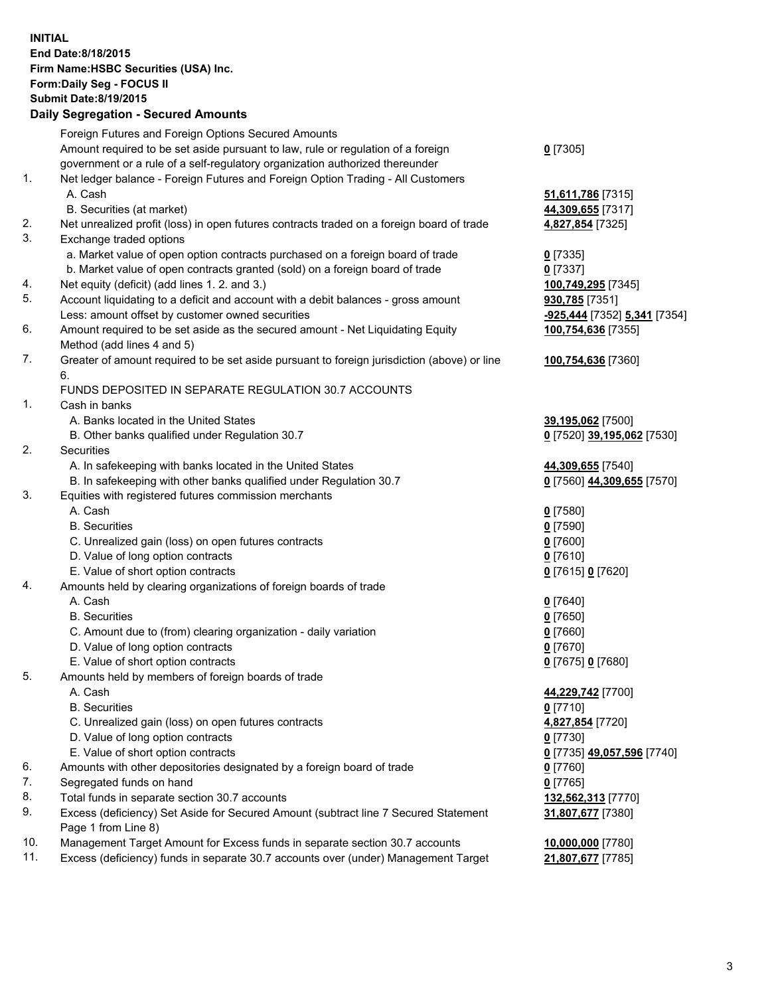**INITIAL End Date:8/18/2015 Firm Name:HSBC Securities (USA) Inc. Form:Daily Seg - FOCUS II Submit Date:8/19/2015 Daily Segregation - Secured Amounts**

Foreign Futures and Foreign Options Secured Amounts Amount required to be set aside pursuant to law, rule or regulation of a foreign government or a rule of a self-regulatory organization authorized thereunder **0** [7305] 1. Net ledger balance - Foreign Futures and Foreign Option Trading - All Customers A. Cash **51,611,786** [7315] B. Securities (at market) **44,309,655** [7317] 2. Net unrealized profit (loss) in open futures contracts traded on a foreign board of trade **4,827,854** [7325] 3. Exchange traded options a. Market value of open option contracts purchased on a foreign board of trade **0** [7335] b. Market value of open contracts granted (sold) on a foreign board of trade **0** [7337] 4. Net equity (deficit) (add lines 1. 2. and 3.) **100,749,295** [7345] 5. Account liquidating to a deficit and account with a debit balances - gross amount **930,785** [7351] Less: amount offset by customer owned securities **-925,444** [7352] **5,341** [7354] 6. Amount required to be set aside as the secured amount - Net Liquidating Equity Method (add lines 4 and 5) **100,754,636** [7355] 7. Greater of amount required to be set aside pursuant to foreign jurisdiction (above) or line 6. **100,754,636** [7360] FUNDS DEPOSITED IN SEPARATE REGULATION 30.7 ACCOUNTS 1. Cash in banks A. Banks located in the United States **39,195,062** [7500] B. Other banks qualified under Regulation 30.7 **0** [7520] **39,195,062** [7530] 2. Securities A. In safekeeping with banks located in the United States **44,309,655** [7540] B. In safekeeping with other banks qualified under Regulation 30.7 **0** [7560] **44,309,655** [7570] 3. Equities with registered futures commission merchants A. Cash **0** [7580] B. Securities **0** [7590] C. Unrealized gain (loss) on open futures contracts **0** [7600] D. Value of long option contracts **0** [7610] E. Value of short option contracts **0** [7615] **0** [7620] 4. Amounts held by clearing organizations of foreign boards of trade A. Cash **0** [7640] B. Securities **0** [7650] C. Amount due to (from) clearing organization - daily variation **0** [7660] D. Value of long option contracts **0** [7670] E. Value of short option contracts **0** [7675] **0** [7680] 5. Amounts held by members of foreign boards of trade A. Cash **44,229,742** [7700] B. Securities **0** [7710] C. Unrealized gain (loss) on open futures contracts **4,827,854** [7720] D. Value of long option contracts **0** [7730] E. Value of short option contracts **0** [7735] **49,057,596** [7740] 6. Amounts with other depositories designated by a foreign board of trade **0** [7760] 7. Segregated funds on hand **0** [7765] 8. Total funds in separate section 30.7 accounts **132,562,313** [7770] 9. Excess (deficiency) Set Aside for Secured Amount (subtract line 7 Secured Statement Page 1 from Line 8) **31,807,677** [7380] 10. Management Target Amount for Excess funds in separate section 30.7 accounts **10,000,000** [7780] 11. Excess (deficiency) funds in separate 30.7 accounts over (under) Management Target **21,807,677** [7785]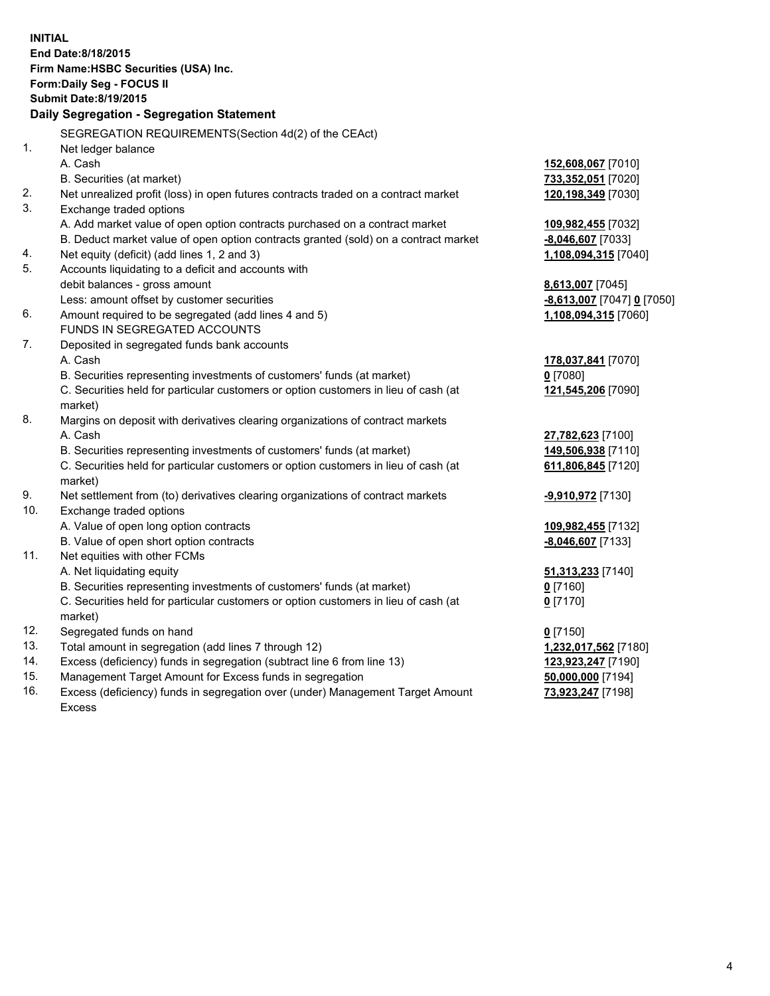| <b>INITIAL</b>                            | End Date:8/18/2015<br>Firm Name: HSBC Securities (USA) Inc.<br>Form: Daily Seg - FOCUS II      |                              |  |  |  |  |
|-------------------------------------------|------------------------------------------------------------------------------------------------|------------------------------|--|--|--|--|
|                                           | <b>Submit Date: 8/19/2015</b>                                                                  |                              |  |  |  |  |
| Daily Segregation - Segregation Statement |                                                                                                |                              |  |  |  |  |
|                                           | SEGREGATION REQUIREMENTS(Section 4d(2) of the CEAct)                                           |                              |  |  |  |  |
| 1.                                        | Net ledger balance                                                                             |                              |  |  |  |  |
|                                           | A. Cash                                                                                        | 152,608,067 [7010]           |  |  |  |  |
|                                           | B. Securities (at market)                                                                      | 733,352,051 [7020]           |  |  |  |  |
| 2.                                        | Net unrealized profit (loss) in open futures contracts traded on a contract market             | 120,198,349 [7030]           |  |  |  |  |
| 3.                                        | Exchange traded options                                                                        |                              |  |  |  |  |
|                                           | A. Add market value of open option contracts purchased on a contract market                    | 109,982,455 [7032]           |  |  |  |  |
|                                           | B. Deduct market value of open option contracts granted (sold) on a contract market            | $-8,046,607$ [7033]          |  |  |  |  |
| 4.                                        | Net equity (deficit) (add lines 1, 2 and 3)                                                    | 1,108,094,315 [7040]         |  |  |  |  |
| 5.                                        | Accounts liquidating to a deficit and accounts with                                            |                              |  |  |  |  |
|                                           | debit balances - gross amount                                                                  | 8,613,007 [7045]             |  |  |  |  |
|                                           | Less: amount offset by customer securities                                                     | $-8,613,007$ [7047] 0 [7050] |  |  |  |  |
| 6.                                        | Amount required to be segregated (add lines 4 and 5)                                           | 1,108,094,315 [7060]         |  |  |  |  |
|                                           | FUNDS IN SEGREGATED ACCOUNTS                                                                   |                              |  |  |  |  |
| 7.                                        | Deposited in segregated funds bank accounts                                                    |                              |  |  |  |  |
|                                           | A. Cash                                                                                        | 178,037,841 [7070]           |  |  |  |  |
|                                           | B. Securities representing investments of customers' funds (at market)                         | $0$ [7080]                   |  |  |  |  |
|                                           | C. Securities held for particular customers or option customers in lieu of cash (at<br>market) | 121,545,206 [7090]           |  |  |  |  |
| 8.                                        | Margins on deposit with derivatives clearing organizations of contract markets                 |                              |  |  |  |  |
|                                           | A. Cash                                                                                        | 27,782,623 [7100]            |  |  |  |  |
|                                           | B. Securities representing investments of customers' funds (at market)                         | 149,506,938 [7110]           |  |  |  |  |
|                                           | C. Securities held for particular customers or option customers in lieu of cash (at<br>market) | 611,806,845 [7120]           |  |  |  |  |
| 9.                                        | Net settlement from (to) derivatives clearing organizations of contract markets                | <u>-9,910,972</u> [7130]     |  |  |  |  |
| 10.                                       | Exchange traded options                                                                        |                              |  |  |  |  |
|                                           | A. Value of open long option contracts                                                         | 109,982,455 [7132]           |  |  |  |  |
|                                           | B. Value of open short option contracts                                                        | $-8,046,607$ [7133]          |  |  |  |  |
| 11.                                       | Net equities with other FCMs                                                                   |                              |  |  |  |  |
|                                           | A. Net liquidating equity                                                                      | 51,313,233 [7140]            |  |  |  |  |
|                                           | B. Securities representing investments of customers' funds (at market)                         | $0$ [7160]                   |  |  |  |  |
|                                           | C. Securities held for particular customers or option customers in lieu of cash (at<br>market) | $0$ [7170]                   |  |  |  |  |
| 12.                                       | Segregated funds on hand                                                                       | $0$ [7150]                   |  |  |  |  |
| 13.                                       | Total amount in segregation (add lines 7 through 12)                                           | 1,232,017,562 [7180]         |  |  |  |  |
| 14.                                       | Excess (deficiency) funds in segregation (subtract line 6 from line 13)                        | 123,923,247 [7190]           |  |  |  |  |
| 15.                                       | Management Target Amount for Excess funds in segregation                                       | 50,000,000 [7194]            |  |  |  |  |
| 16.                                       | Excess (deficiency) funds in segregation over (under) Management Target Amount                 | 73,923,247 [7198]            |  |  |  |  |

16. Excess (deficiency) funds in segregation over (under) Management Target Amount Excess